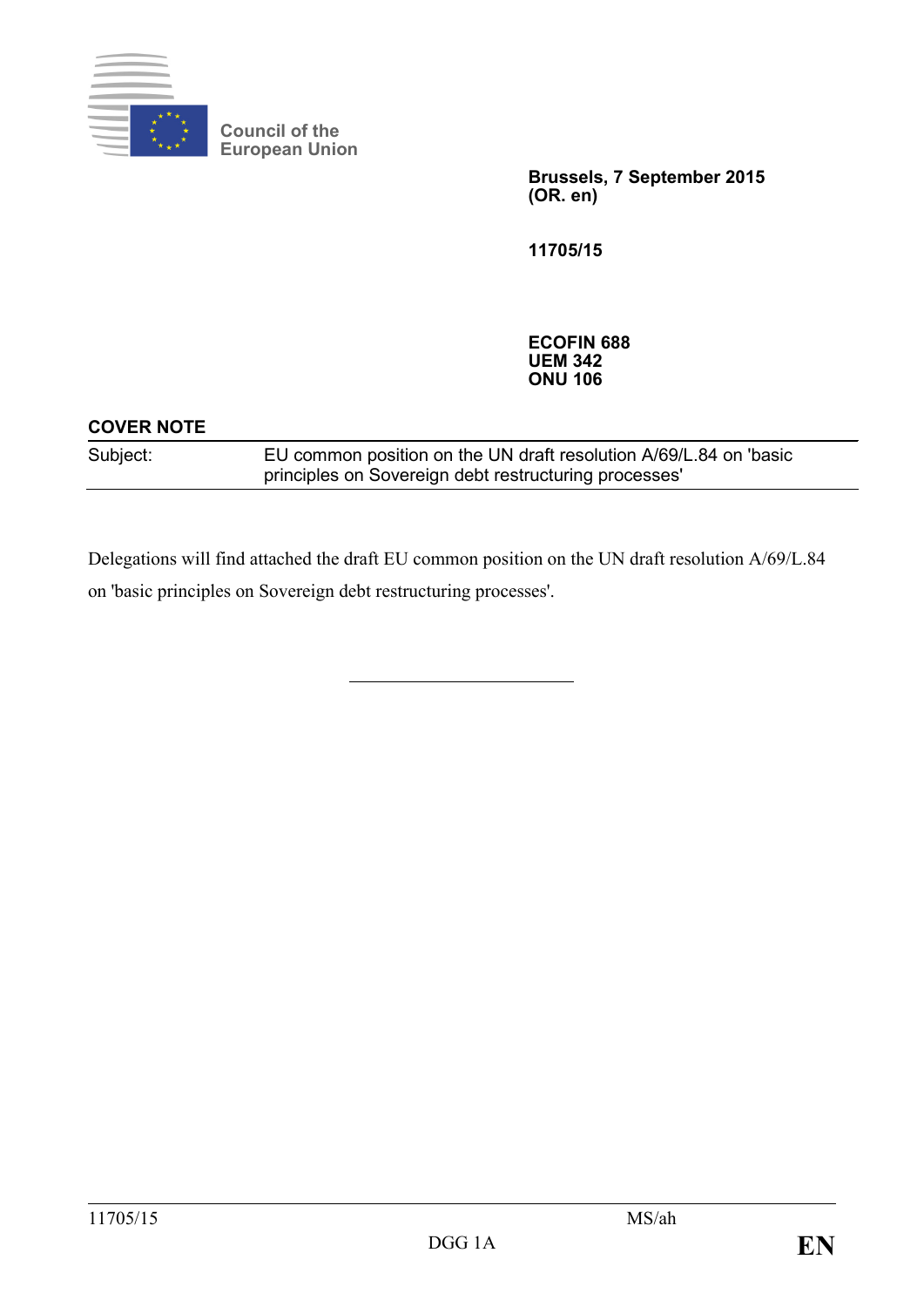

**Council of the European Union**

> **Brussels, 7 September 2015 (OR. en)**

**11705/15**

**ECOFIN 688 UEM 342 ONU 106**

### **COVER NOTE**

Subject: EU common position on the UN draft resolution A/69/L.84 on 'basic principles on Sovereign debt restructuring processes'

Delegations will find attached the draft EU common position on the UN draft resolution A/69/L.84 on 'basic principles on Sovereign debt restructuring processes'.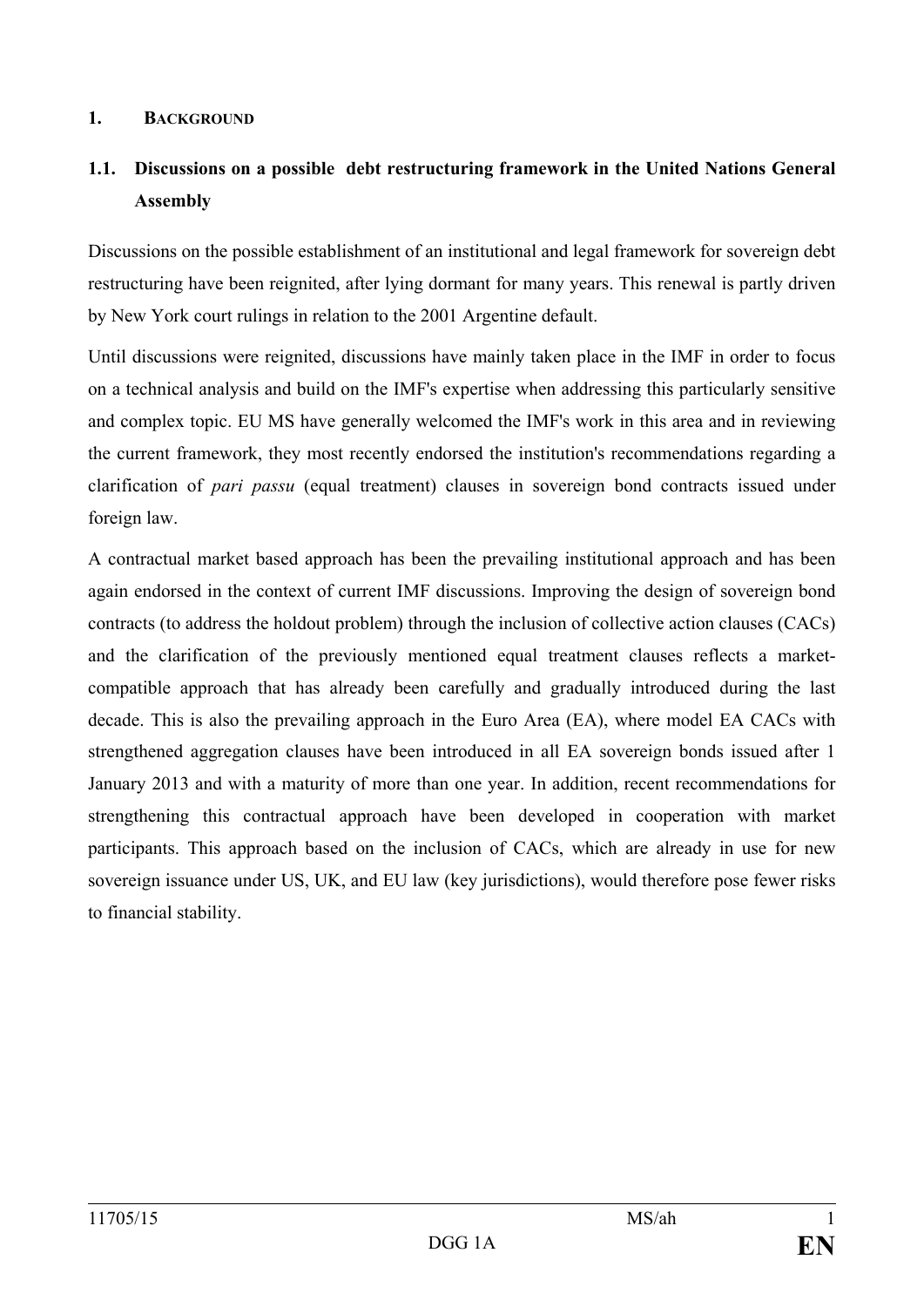#### **1. BACKGROUND**

# **1.1. Discussions on a possible debt restructuring framework in the United Nations General Assembly**

Discussions on the possible establishment of an institutional and legal framework for sovereign debt restructuring have been reignited, after lying dormant for many years. This renewal is partly driven by New York court rulings in relation to the 2001 Argentine default.

Until discussions were reignited, discussions have mainly taken place in the IMF in order to focus on a technical analysis and build on the IMF's expertise when addressing this particularly sensitive and complex topic. EU MS have generally welcomed the IMF's work in this area and in reviewing the current framework, they most recently endorsed the institution's recommendations regarding a clarification of *pari passu* (equal treatment) clauses in sovereign bond contracts issued under foreign law.

A contractual market based approach has been the prevailing institutional approach and has been again endorsed in the context of current IMF discussions. Improving the design of sovereign bond contracts (to address the holdout problem) through the inclusion of collective action clauses (CACs) and the clarification of the previously mentioned equal treatment clauses reflects a marketcompatible approach that has already been carefully and gradually introduced during the last decade. This is also the prevailing approach in the Euro Area (EA), where model EA CACs with strengthened aggregation clauses have been introduced in all EA sovereign bonds issued after 1 January 2013 and with a maturity of more than one year. In addition, recent recommendations for strengthening this contractual approach have been developed in cooperation with market participants. This approach based on the inclusion of CACs, which are already in use for new sovereign issuance under US, UK, and EU law (key jurisdictions), would therefore pose fewer risks to financial stability.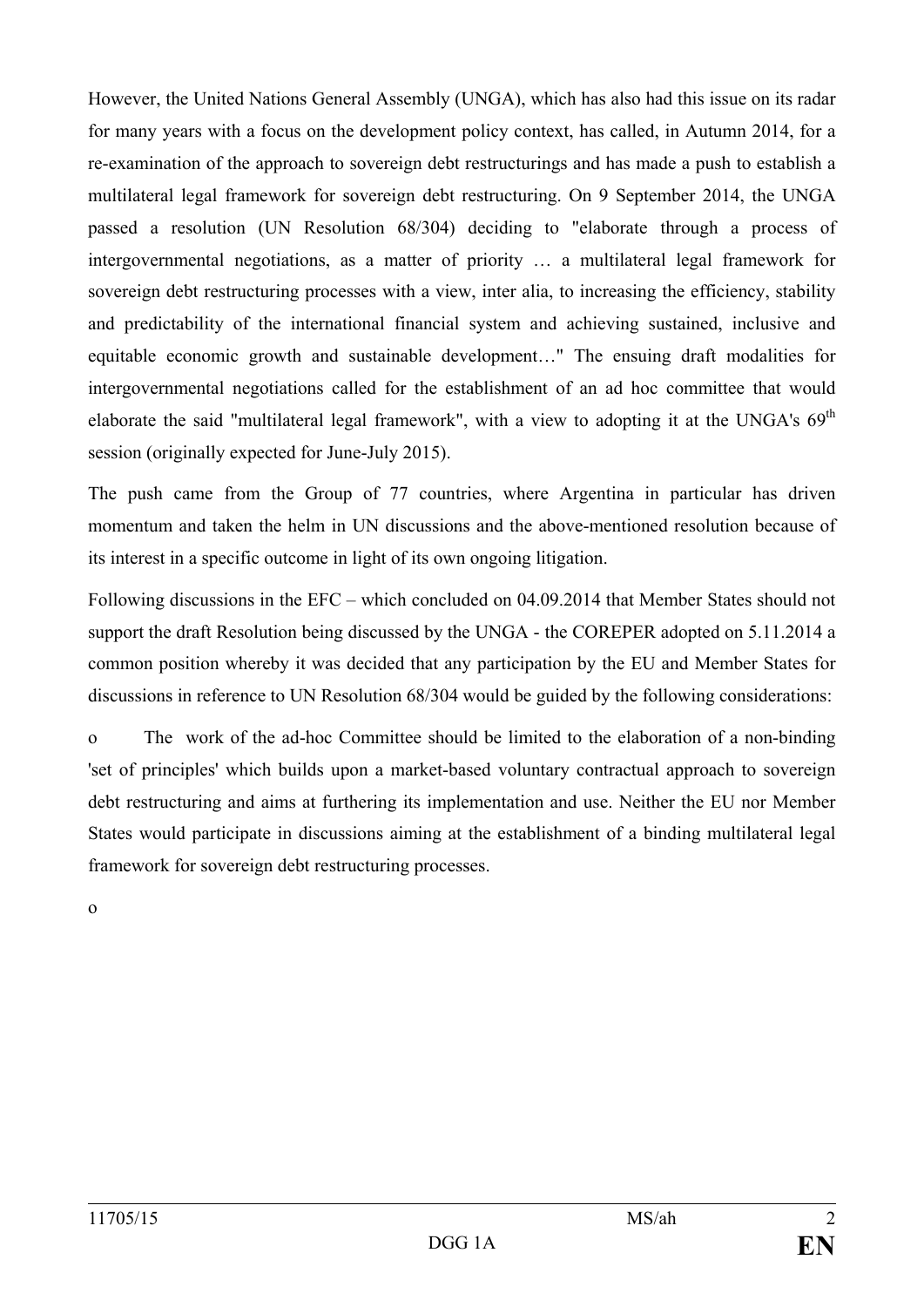However, the United Nations General Assembly (UNGA), which has also had this issue on its radar for many years with a focus on the development policy context, has called, in Autumn 2014, for a re-examination of the approach to sovereign debt restructurings and has made a push to establish a multilateral legal framework for sovereign debt restructuring. On 9 September 2014, the UNGA passed a resolution (UN Resolution 68/304) deciding to "elaborate through a process of intergovernmental negotiations, as a matter of priority … a multilateral legal framework for sovereign debt restructuring processes with a view, inter alia, to increasing the efficiency, stability and predictability of the international financial system and achieving sustained, inclusive and equitable economic growth and sustainable development…" The ensuing draft modalities for intergovernmental negotiations called for the establishment of an ad hoc committee that would elaborate the said "multilateral legal framework", with a view to adopting it at the UNGA's  $69<sup>th</sup>$ session (originally expected for June-July 2015).

The push came from the Group of 77 countries, where Argentina in particular has driven momentum and taken the helm in UN discussions and the above-mentioned resolution because of its interest in a specific outcome in light of its own ongoing litigation.

Following discussions in the EFC – which concluded on 04.09.2014 that Member States should not support the draft Resolution being discussed by the UNGA - the COREPER adopted on 5.11.2014 a common position whereby it was decided that any participation by the EU and Member States for discussions in reference to UN Resolution 68/304 would be guided by the following considerations:

o The work of the ad-hoc Committee should be limited to the elaboration of a non-binding 'set of principles' which builds upon a market-based voluntary contractual approach to sovereign debt restructuring and aims at furthering its implementation and use. Neither the EU nor Member States would participate in discussions aiming at the establishment of a binding multilateral legal framework for sovereign debt restructuring processes.

o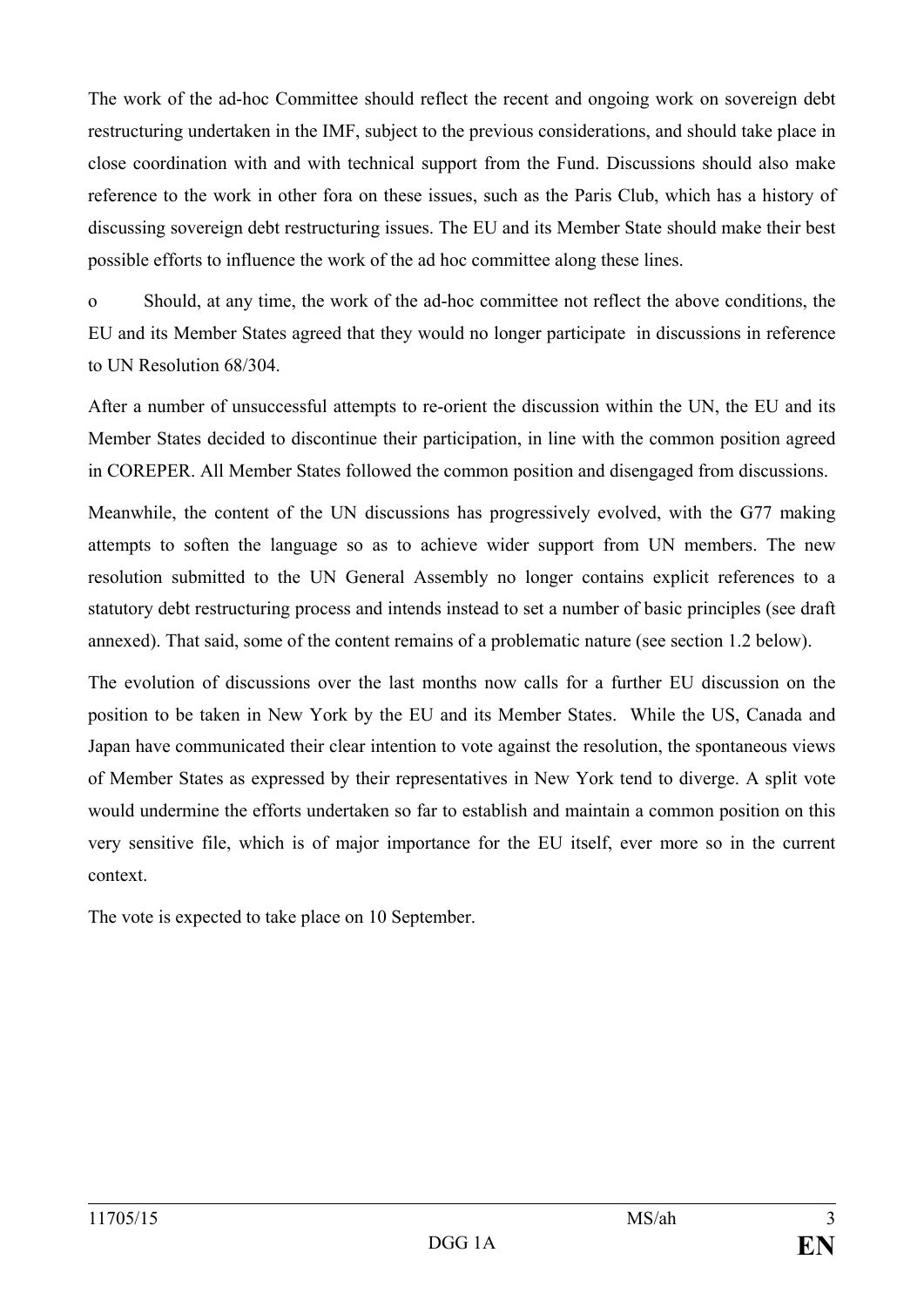The work of the ad-hoc Committee should reflect the recent and ongoing work on sovereign debt restructuring undertaken in the IMF, subject to the previous considerations, and should take place in close coordination with and with technical support from the Fund. Discussions should also make reference to the work in other fora on these issues, such as the Paris Club, which has a history of discussing sovereign debt restructuring issues. The EU and its Member State should make their best possible efforts to influence the work of the ad hoc committee along these lines.

o Should, at any time, the work of the ad-hoc committee not reflect the above conditions, the EU and its Member States agreed that they would no longer participate in discussions in reference to UN Resolution 68/304.

After a number of unsuccessful attempts to re-orient the discussion within the UN, the EU and its Member States decided to discontinue their participation, in line with the common position agreed in COREPER. All Member States followed the common position and disengaged from discussions.

Meanwhile, the content of the UN discussions has progressively evolved, with the G77 making attempts to soften the language so as to achieve wider support from UN members. The new resolution submitted to the UN General Assembly no longer contains explicit references to a statutory debt restructuring process and intends instead to set a number of basic principles (see draft annexed). That said, some of the content remains of a problematic nature (see section 1.2 below).

The evolution of discussions over the last months now calls for a further EU discussion on the position to be taken in New York by the EU and its Member States. While the US, Canada and Japan have communicated their clear intention to vote against the resolution, the spontaneous views of Member States as expressed by their representatives in New York tend to diverge. A split vote would undermine the efforts undertaken so far to establish and maintain a common position on this very sensitive file, which is of major importance for the EU itself, ever more so in the current context.

The vote is expected to take place on 10 September.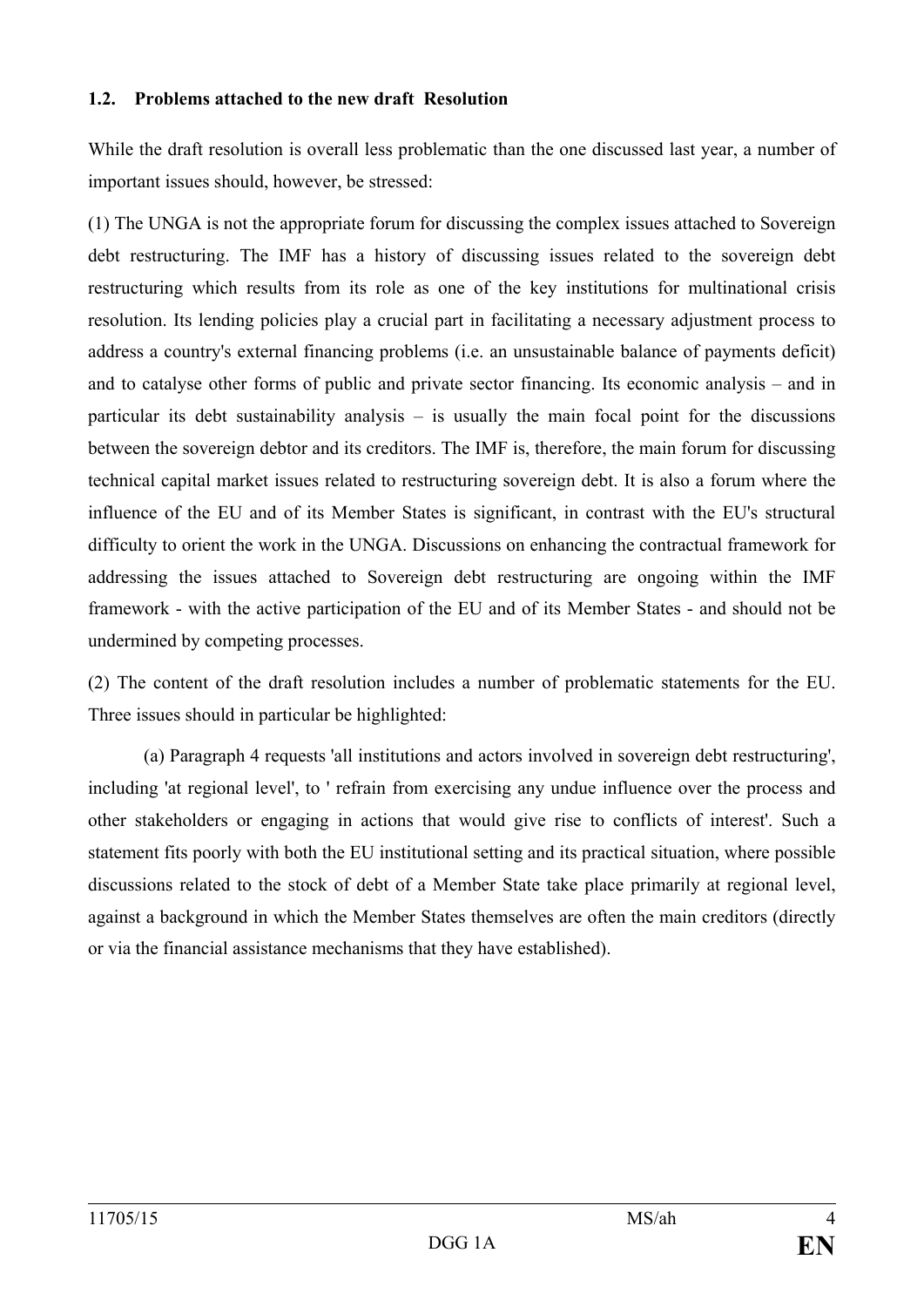#### **1.2. Problems attached to the new draft Resolution**

While the draft resolution is overall less problematic than the one discussed last year, a number of important issues should, however, be stressed:

(1) The UNGA is not the appropriate forum for discussing the complex issues attached to Sovereign debt restructuring. The IMF has a history of discussing issues related to the sovereign debt restructuring which results from its role as one of the key institutions for multinational crisis resolution. Its lending policies play a crucial part in facilitating a necessary adjustment process to address a country's external financing problems (i.e. an unsustainable balance of payments deficit) and to catalyse other forms of public and private sector financing. Its economic analysis – and in particular its debt sustainability analysis – is usually the main focal point for the discussions between the sovereign debtor and its creditors. The IMF is, therefore, the main forum for discussing technical capital market issues related to restructuring sovereign debt. It is also a forum where the influence of the EU and of its Member States is significant, in contrast with the EU's structural difficulty to orient the work in the UNGA. Discussions on enhancing the contractual framework for addressing the issues attached to Sovereign debt restructuring are ongoing within the IMF framework - with the active participation of the EU and of its Member States - and should not be undermined by competing processes.

(2) The content of the draft resolution includes a number of problematic statements for the EU. Three issues should in particular be highlighted:

(a) Paragraph 4 requests 'all institutions and actors involved in sovereign debt restructuring', including 'at regional level', to ' refrain from exercising any undue influence over the process and other stakeholders or engaging in actions that would give rise to conflicts of interest'. Such a statement fits poorly with both the EU institutional setting and its practical situation, where possible discussions related to the stock of debt of a Member State take place primarily at regional level, against a background in which the Member States themselves are often the main creditors (directly or via the financial assistance mechanisms that they have established).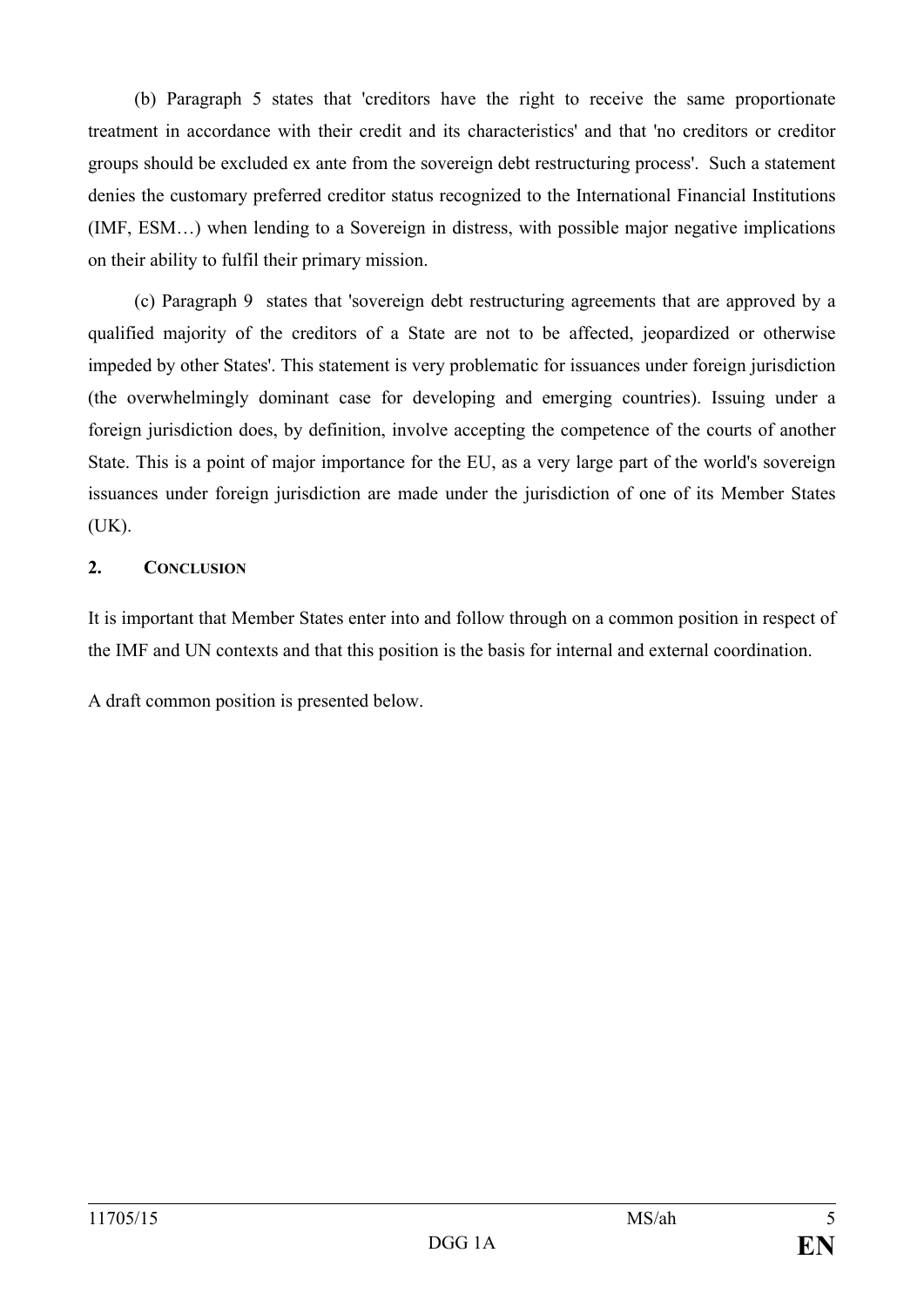(b) Paragraph 5 states that 'creditors have the right to receive the same proportionate treatment in accordance with their credit and its characteristics' and that 'no creditors or creditor groups should be excluded ex ante from the sovereign debt restructuring process'. Such a statement denies the customary preferred creditor status recognized to the International Financial Institutions (IMF, ESM…) when lending to a Sovereign in distress, with possible major negative implications on their ability to fulfil their primary mission.

(c) Paragraph 9 states that 'sovereign debt restructuring agreements that are approved by a qualified majority of the creditors of a State are not to be affected, jeopardized or otherwise impeded by other States'. This statement is very problematic for issuances under foreign jurisdiction (the overwhelmingly dominant case for developing and emerging countries). Issuing under a foreign jurisdiction does, by definition, involve accepting the competence of the courts of another State. This is a point of major importance for the EU, as a very large part of the world's sovereign issuances under foreign jurisdiction are made under the jurisdiction of one of its Member States (UK).

### **2. CONCLUSION**

It is important that Member States enter into and follow through on a common position in respect of the IMF and UN contexts and that this position is the basis for internal and external coordination.

A draft common position is presented below.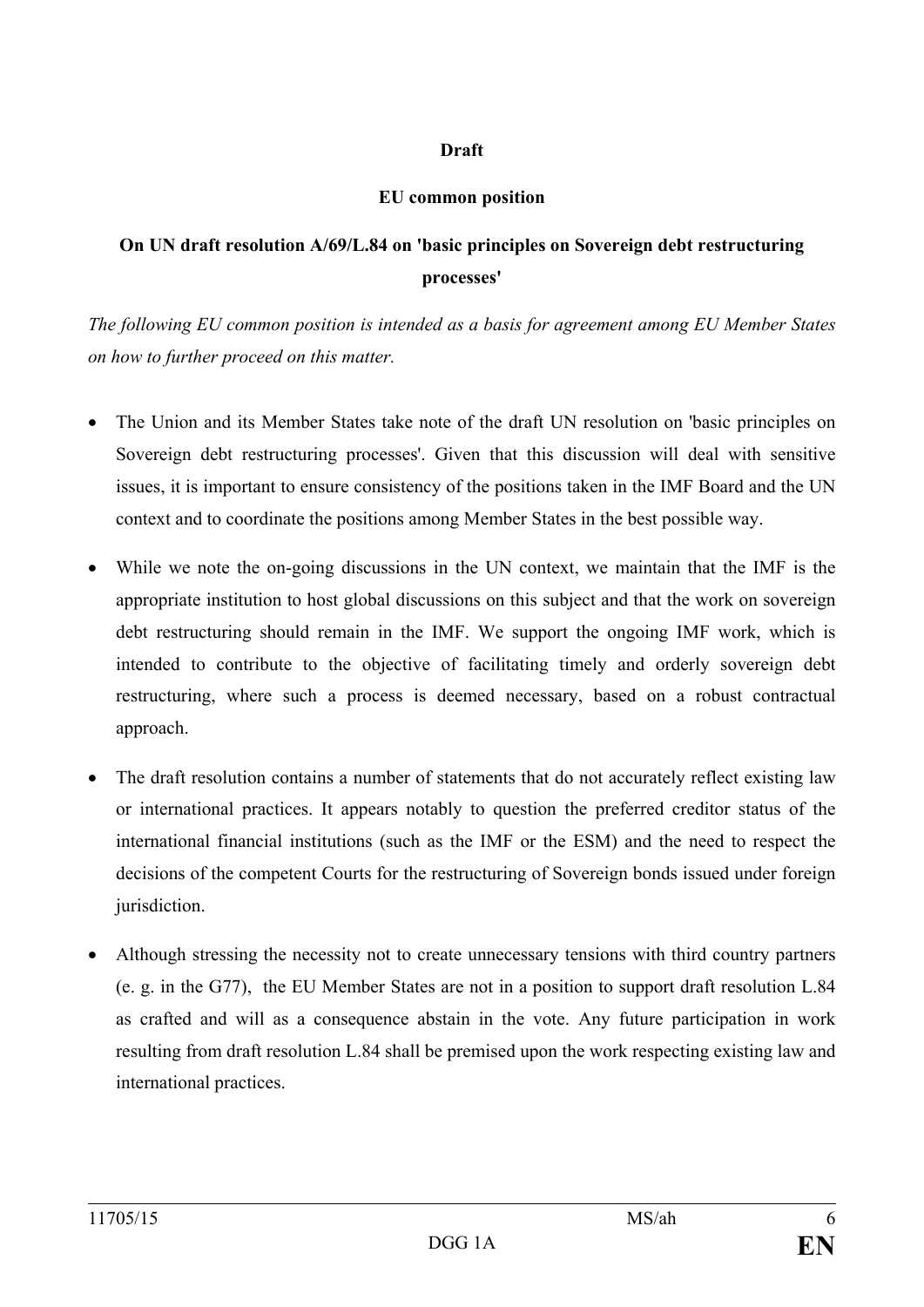### **Draft**

### **EU common position**

## **On UN draft resolution A/69/L.84 on 'basic principles on Sovereign debt restructuring processes'**

*The following EU common position is intended as a basis for agreement among EU Member States on how to further proceed on this matter.* 

- The Union and its Member States take note of the draft UN resolution on 'basic principles on Sovereign debt restructuring processes'. Given that this discussion will deal with sensitive issues, it is important to ensure consistency of the positions taken in the IMF Board and the UN context and to coordinate the positions among Member States in the best possible way.
- While we note the on-going discussions in the UN context, we maintain that the IMF is the appropriate institution to host global discussions on this subject and that the work on sovereign debt restructuring should remain in the IMF. We support the ongoing IMF work, which is intended to contribute to the objective of facilitating timely and orderly sovereign debt restructuring, where such a process is deemed necessary, based on a robust contractual approach.
- The draft resolution contains a number of statements that do not accurately reflect existing law or international practices. It appears notably to question the preferred creditor status of the international financial institutions (such as the IMF or the ESM) and the need to respect the decisions of the competent Courts for the restructuring of Sovereign bonds issued under foreign jurisdiction.
- Although stressing the necessity not to create unnecessary tensions with third country partners (e. g. in the G77), the EU Member States are not in a position to support draft resolution L.84 as crafted and will as a consequence abstain in the vote. Any future participation in work resulting from draft resolution L.84 shall be premised upon the work respecting existing law and international practices.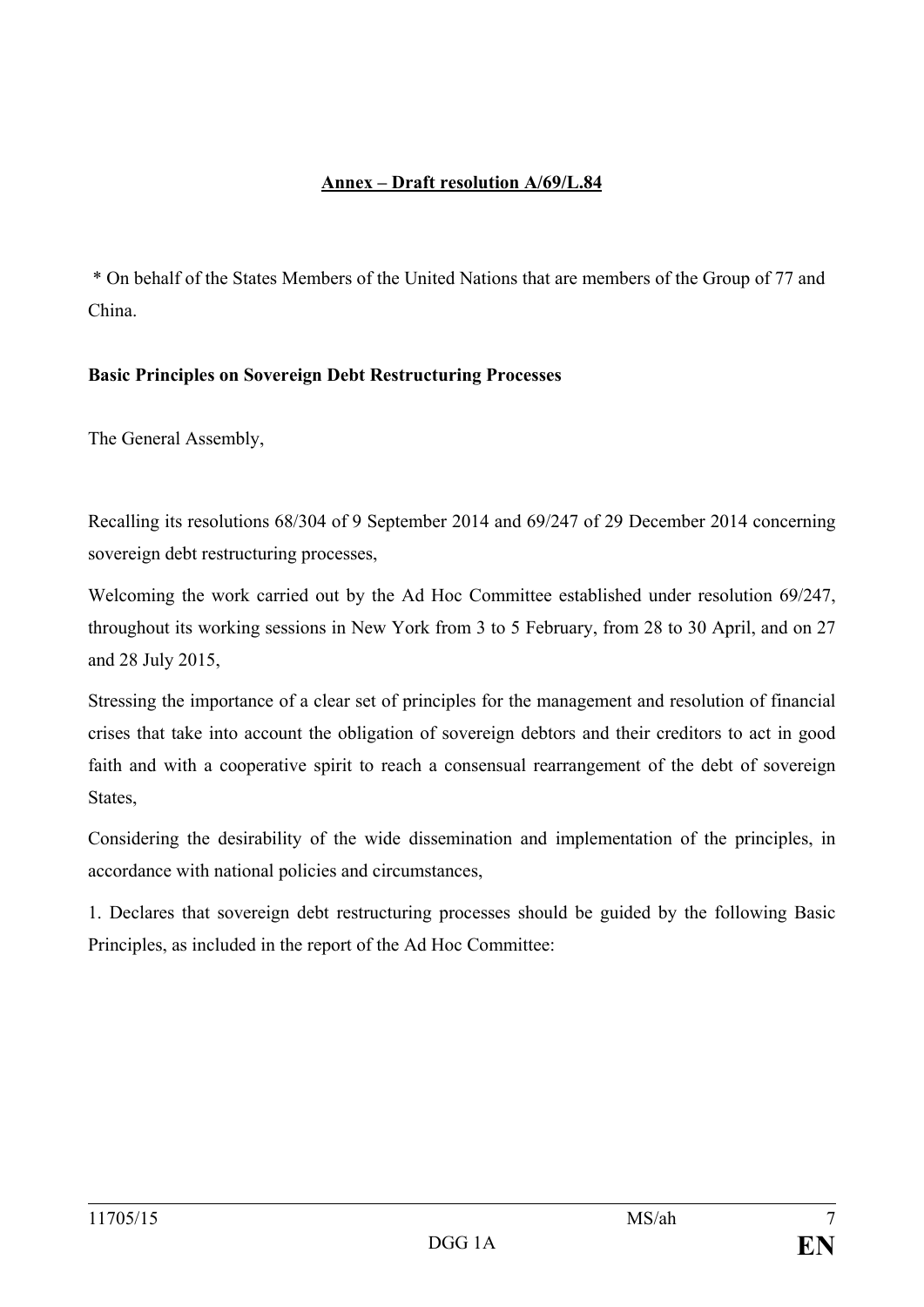## **Annex – Draft resolution A/69/L.84**

\* On behalf of the States Members of the United Nations that are members of the Group of 77 and China.

### **Basic Principles on Sovereign Debt Restructuring Processes**

The General Assembly,

Recalling its resolutions 68/304 of 9 September 2014 and 69/247 of 29 December 2014 concerning sovereign debt restructuring processes,

Welcoming the work carried out by the Ad Hoc Committee established under resolution 69/247, throughout its working sessions in New York from 3 to 5 February, from 28 to 30 April, and on 27 and 28 July 2015,

Stressing the importance of a clear set of principles for the management and resolution of financial crises that take into account the obligation of sovereign debtors and their creditors to act in good faith and with a cooperative spirit to reach a consensual rearrangement of the debt of sovereign **States** 

Considering the desirability of the wide dissemination and implementation of the principles, in accordance with national policies and circumstances,

1. Declares that sovereign debt restructuring processes should be guided by the following Basic Principles, as included in the report of the Ad Hoc Committee: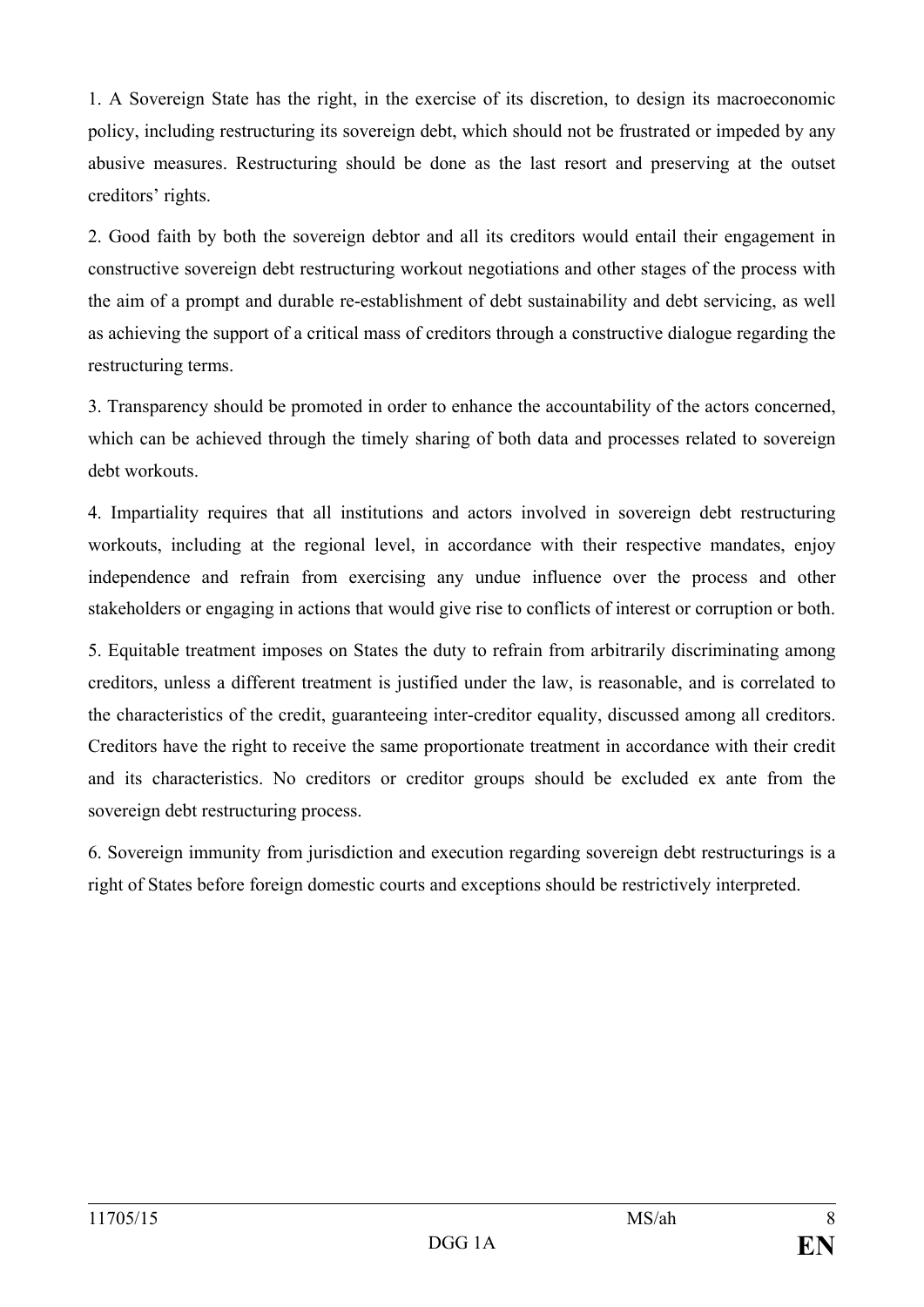1. A Sovereign State has the right, in the exercise of its discretion, to design its macroeconomic policy, including restructuring its sovereign debt, which should not be frustrated or impeded by any abusive measures. Restructuring should be done as the last resort and preserving at the outset creditors' rights.

2. Good faith by both the sovereign debtor and all its creditors would entail their engagement in constructive sovereign debt restructuring workout negotiations and other stages of the process with the aim of a prompt and durable re-establishment of debt sustainability and debt servicing, as well as achieving the support of a critical mass of creditors through a constructive dialogue regarding the restructuring terms.

3. Transparency should be promoted in order to enhance the accountability of the actors concerned, which can be achieved through the timely sharing of both data and processes related to sovereign debt workouts.

4. Impartiality requires that all institutions and actors involved in sovereign debt restructuring workouts, including at the regional level, in accordance with their respective mandates, enjoy independence and refrain from exercising any undue influence over the process and other stakeholders or engaging in actions that would give rise to conflicts of interest or corruption or both.

5. Equitable treatment imposes on States the duty to refrain from arbitrarily discriminating among creditors, unless a different treatment is justified under the law, is reasonable, and is correlated to the characteristics of the credit, guaranteeing inter-creditor equality, discussed among all creditors. Creditors have the right to receive the same proportionate treatment in accordance with their credit and its characteristics. No creditors or creditor groups should be excluded ex ante from the sovereign debt restructuring process.

6. Sovereign immunity from jurisdiction and execution regarding sovereign debt restructurings is a right of States before foreign domestic courts and exceptions should be restrictively interpreted.